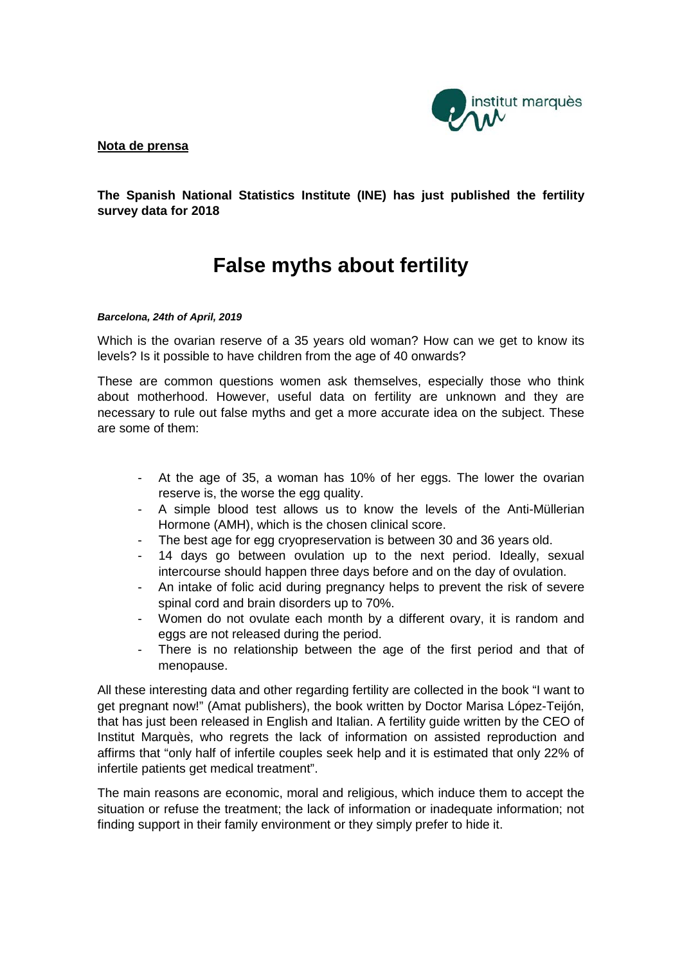

## **Nota de prensa**

**The Spanish National Statistics Institute (INE) has just published the fertility survey data for 2018**

# **False myths about fertility**

### *Barcelona, 24th of April, 2019*

Which is the ovarian reserve of a 35 years old woman? How can we get to know its levels? Is it possible to have children from the age of 40 onwards?

These are common questions women ask themselves, especially those who think about motherhood. However, useful data on fertility are unknown and they are necessary to rule out false myths and get a more accurate idea on the subject. These are some of them:

- At the age of 35, a woman has 10% of her eggs. The lower the ovarian reserve is, the worse the egg quality.
- A simple blood test allows us to know the levels of the Anti-Müllerian Hormone (AMH), which is the chosen clinical score.
- The best age for egg cryopreservation is between 30 and 36 years old.
- 14 days go between ovulation up to the next period. Ideally, sexual intercourse should happen three days before and on the day of ovulation.
- An intake of folic acid during pregnancy helps to prevent the risk of severe spinal cord and brain disorders up to 70%.
- Women do not ovulate each month by a different ovary, it is random and eggs are not released during the period.
- There is no relationship between the age of the first period and that of menopause.

All these interesting data and other regarding fertility are collected in the book "I want to get pregnant now!" (Amat publishers), the book written by Doctor Marisa López-Teijón, that has just been released in English and Italian. A fertility guide written by the CEO of Institut Marquès, who regrets the lack of information on assisted reproduction and affirms that "only half of infertile couples seek help and it is estimated that only 22% of infertile patients get medical treatment".

The main reasons are economic, moral and religious, which induce them to accept the situation or refuse the treatment; the lack of information or inadequate information; not finding support in their family environment or they simply prefer to hide it.